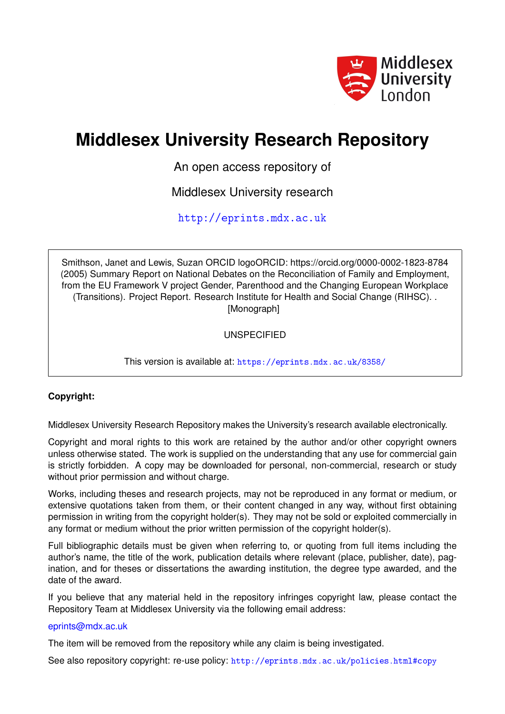

# **Middlesex University Research Repository**

An open access repository of

Middlesex University research

<http://eprints.mdx.ac.uk>

Smithson, Janet and Lewis, Suzan ORCID logoORCID: https://orcid.org/0000-0002-1823-8784 (2005) Summary Report on National Debates on the Reconciliation of Family and Employment, from the EU Framework V project Gender, Parenthood and the Changing European Workplace (Transitions). Project Report. Research Institute for Health and Social Change (RIHSC). . [Monograph]

UNSPECIFIED

This version is available at: <https://eprints.mdx.ac.uk/8358/>

## **Copyright:**

Middlesex University Research Repository makes the University's research available electronically.

Copyright and moral rights to this work are retained by the author and/or other copyright owners unless otherwise stated. The work is supplied on the understanding that any use for commercial gain is strictly forbidden. A copy may be downloaded for personal, non-commercial, research or study without prior permission and without charge.

Works, including theses and research projects, may not be reproduced in any format or medium, or extensive quotations taken from them, or their content changed in any way, without first obtaining permission in writing from the copyright holder(s). They may not be sold or exploited commercially in any format or medium without the prior written permission of the copyright holder(s).

Full bibliographic details must be given when referring to, or quoting from full items including the author's name, the title of the work, publication details where relevant (place, publisher, date), pagination, and for theses or dissertations the awarding institution, the degree type awarded, and the date of the award.

If you believe that any material held in the repository infringes copyright law, please contact the Repository Team at Middlesex University via the following email address:

## [eprints@mdx.ac.uk](mailto:eprints@mdx.ac.uk)

The item will be removed from the repository while any claim is being investigated.

See also repository copyright: re-use policy: <http://eprints.mdx.ac.uk/policies.html#copy>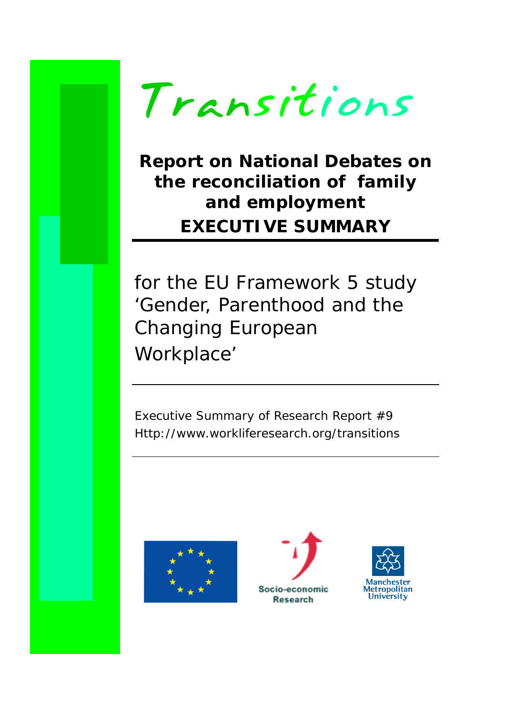

# **Report on National Debates on the reconciliation of family and employment EXECUTIVE SUMMARY**

for the EU Framework 5 study 'Gender, Parenthood and the Changing European Workplace'

Executive Summary of Research Report #9 Http://www.workliferesearch.org/transitions





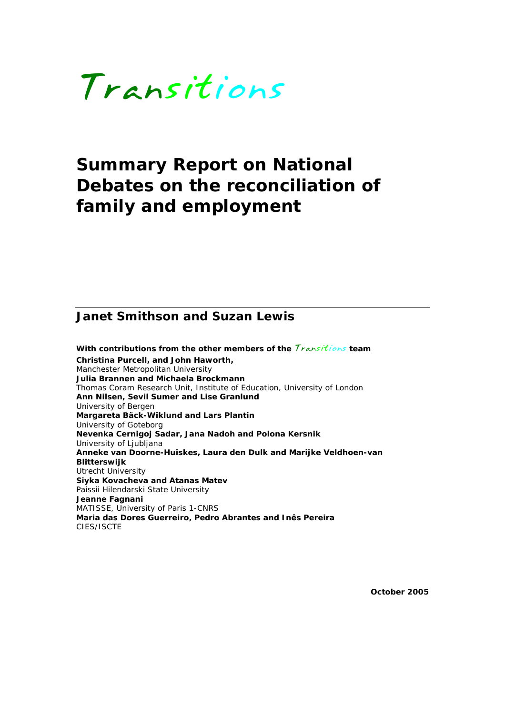

# **Summary Report on National Debates on the reconciliation of family and employment**

# **Janet Smithson and Suzan Lewis**

**With contributions from the other members of the** *Transitions* **team Christina Purcell, and John Haworth,**  Manchester Metropolitan University **Julia Brannen and Michaela Brockmann**  Thomas Coram Research Unit, Institute of Education, University of London **Ann Nilsen, Sevil Sumer and Lise Granlund** University of Bergen **Margareta Bäck-Wiklund and Lars Plantin** University of Goteborg **Nevenka Cernigoj Sadar, Jana Nadoh and Polona Kersnik**  University of Ljubljana **Anneke van Doorne-Huiskes, Laura den Dulk and Marijke Veldhoen-van Blitterswijk**  Utrecht University **Siyka Kovacheva and Atanas Matev**  Paissii Hilendarski State University **Jeanne Fagnani**  MATISSE, University of Paris 1-CNRS **Maria das Dores Guerreiro, Pedro Abrantes and Inês Pereira**  CIES/ISCTE

**October 2005**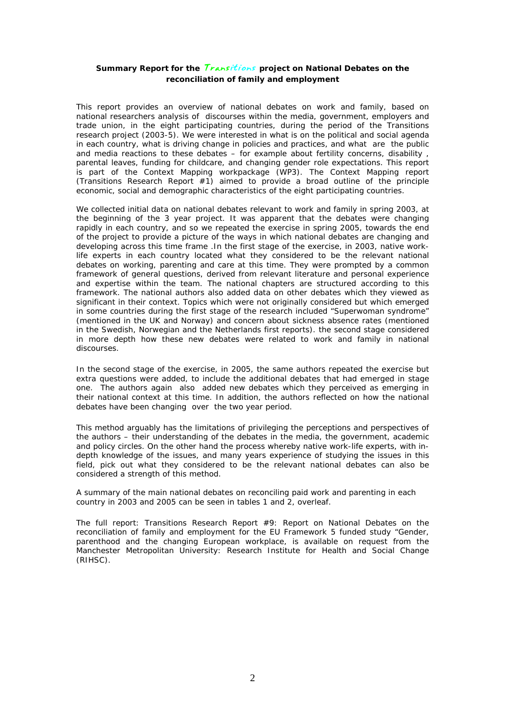#### **Summary Report for the** *Transitions* **project on National Debates on the reconciliation of family and employment**

This report provides an overview of national debates on work and family, based on national researchers analysis of discourses within the media, government, employers and trade union, in the eight participating countries, during the period of the Transitions research project (2003-5). We were interested in what is on the political and social agenda in each country, what is driving change in policies and practices, and what are the public and media reactions to these debates – for example about fertility concerns, disability , parental leaves, funding for childcare, and changing gender role expectations. This report is part of the Context Mapping workpackage (WP3). The Context Mapping report (Transitions Research Report #1) aimed to provide a broad outline of the principle economic, social and demographic characteristics of the eight participating countries.

We collected initial data on national debates relevant to work and family in spring 2003, at the beginning of the 3 year project. It was apparent that the debates were changing rapidly in each country, and so we repeated the exercise in spring 2005, towards the end of the project to provide a picture of the ways in which national debates are changing and developing across this time frame .In the first stage of the exercise, in 2003, native worklife experts in each country located what they considered to be the relevant national debates on working, parenting and care at this time. They were prompted by a common framework of general questions, derived from relevant literature and personal experience and expertise within the team. The national chapters are structured according to this framework. The national authors also added data on other debates which they viewed as significant in their context. Topics which were not originally considered but which emerged in some countries during the first stage of the research included "Superwoman syndrome" (mentioned in the UK and Norway) and concern about sickness absence rates (mentioned in the Swedish, Norwegian and the Netherlands first reports). the second stage considered in more depth how these new debates were related to work and family in national discourses.

In the second stage of the exercise, in 2005, the same authors repeated the exercise but extra questions were added, to include the additional debates that had emerged in stage one. The authors again also added new debates which they perceived as emerging in their national context at this time. In addition, the authors reflected on how the national debates have been changing over the two year period.

This method arguably has the limitations of privileging the perceptions and perspectives of the authors – their understanding of the debates in the media, the government, academic and policy circles. On the other hand the process whereby native work-life experts, with indepth knowledge of the issues, and many years experience of studying the issues in this field, pick out what they considered to be the relevant national debates can also be considered a strength of this method.

A summary of the main national debates on reconciling paid work and parenting in each country in 2003 and 2005 can be seen in tables 1 and 2, overleaf.

The full report: Transitions Research Report #9: Report on National Debates on the reconciliation of family and employment for the EU Framework 5 funded study "Gender, parenthood and the changing European workplace, is available on request from the Manchester Metropolitan University: Research Institute for Health and Social Change (RIHSC).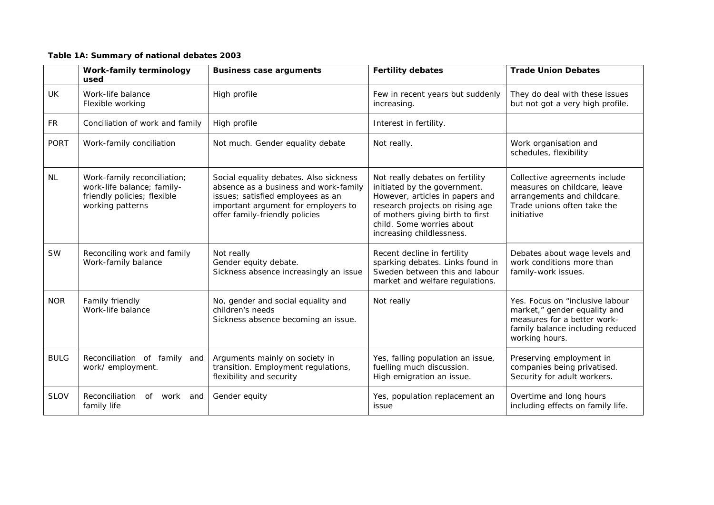#### **Table 1A: Summary of national debates 2003**

|             | Work-family terminology<br>used                                                                              | <b>Business case arguments</b>                                                                                                                                                                | <b>Fertility debates</b>                                                                                                                                                                                                            | <b>Trade Union Debates</b>                                                                                                                            |
|-------------|--------------------------------------------------------------------------------------------------------------|-----------------------------------------------------------------------------------------------------------------------------------------------------------------------------------------------|-------------------------------------------------------------------------------------------------------------------------------------------------------------------------------------------------------------------------------------|-------------------------------------------------------------------------------------------------------------------------------------------------------|
| <b>UK</b>   | Work-life balance<br>Flexible working                                                                        | High profile                                                                                                                                                                                  | Few in recent years but suddenly<br>increasing.                                                                                                                                                                                     | They do deal with these issues<br>but not got a very high profile.                                                                                    |
| <b>FR</b>   | Conciliation of work and family                                                                              | High profile                                                                                                                                                                                  | Interest in fertility.                                                                                                                                                                                                              |                                                                                                                                                       |
| <b>PORT</b> | Work-family conciliation                                                                                     | Not much. Gender equality debate                                                                                                                                                              | Not really.                                                                                                                                                                                                                         | Work organisation and<br>schedules, flexibility                                                                                                       |
| <b>NL</b>   | Work-family reconciliation;<br>work-life balance; family-<br>friendly policies; flexible<br>working patterns | Social equality debates. Also sickness<br>absence as a business and work-family<br>issues; satisfied employees as an<br>important argument for employers to<br>offer family-friendly policies | Not really debates on fertility<br>initiated by the government.<br>However, articles in papers and<br>research projects on rising age<br>of mothers giving birth to first<br>child. Some worries about<br>increasing childlessness. | Collective agreements include<br>measures on childcare, leave<br>arrangements and childcare.<br>Trade unions often take the<br>initiative             |
| <b>SW</b>   | Reconciling work and family<br>Work-family balance                                                           | Not really<br>Gender equity debate.<br>Sickness absence increasingly an issue                                                                                                                 | Recent decline in fertility<br>sparking debates. Links found in<br>Sweden between this and labour<br>market and welfare regulations.                                                                                                | Debates about wage levels and<br>work conditions more than<br>family-work issues.                                                                     |
| <b>NOR</b>  | Family friendly<br>Work-life balance                                                                         | No, gender and social equality and<br>children's needs<br>Sickness absence becoming an issue.                                                                                                 | Not really                                                                                                                                                                                                                          | Yes. Focus on "inclusive labour"<br>market," gender equality and<br>measures for a better work-<br>family balance including reduced<br>working hours. |
| <b>BULG</b> | Reconciliation of family and<br>work/ employment.                                                            | Arguments mainly on society in<br>transition. Employment regulations,<br>flexibility and security                                                                                             | Yes, falling population an issue,<br>fuelling much discussion.<br>High emigration an issue.                                                                                                                                         | Preserving employment in<br>companies being privatised.<br>Security for adult workers.                                                                |
| <b>SLOV</b> | Reconciliation<br>of work<br>and<br>family life                                                              | Gender equity                                                                                                                                                                                 | Yes, population replacement an<br>issue                                                                                                                                                                                             | Overtime and long hours<br>including effects on family life.                                                                                          |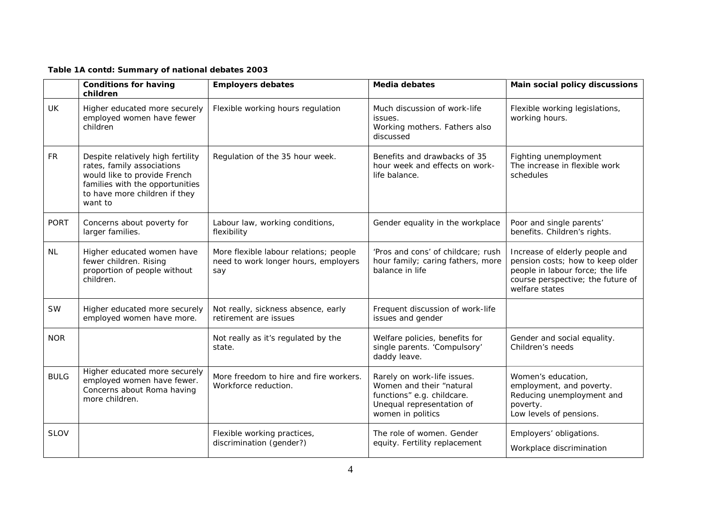### **Table 1A contd: Summary of national debates 2003**

|             | <b>Conditions for having</b><br>children                                                                                                                                       | <b>Employers debates</b>                                                              | <b>Media debates</b>                                                                                                                    | Main social policy discussions                                                                                                                                |
|-------------|--------------------------------------------------------------------------------------------------------------------------------------------------------------------------------|---------------------------------------------------------------------------------------|-----------------------------------------------------------------------------------------------------------------------------------------|---------------------------------------------------------------------------------------------------------------------------------------------------------------|
| <b>UK</b>   | Higher educated more securely<br>employed women have fewer<br>children                                                                                                         | Flexible working hours regulation                                                     | Much discussion of work-life<br>issues.<br>Working mothers. Fathers also<br>discussed                                                   | Flexible working legislations,<br>working hours.                                                                                                              |
| <b>FR</b>   | Despite relatively high fertility<br>rates, family associations<br>would like to provide French<br>families with the opportunities<br>to have more children if they<br>want to | Regulation of the 35 hour week.                                                       | Benefits and drawbacks of 35<br>hour week and effects on work-<br>life balance.                                                         | Fighting unemployment<br>The increase in flexible work<br>schedules                                                                                           |
| <b>PORT</b> | Concerns about poverty for<br>larger families.                                                                                                                                 | Labour law, working conditions,<br>flexibility                                        | Gender equality in the workplace                                                                                                        | Poor and single parents'<br>benefits. Children's rights.                                                                                                      |
| <b>NL</b>   | Higher educated women have<br>fewer children. Rising<br>proportion of people without<br>children.                                                                              | More flexible labour relations; people<br>need to work longer hours, employers<br>say | 'Pros and cons' of childcare; rush<br>hour family; caring fathers, more<br>balance in life                                              | Increase of elderly people and<br>pension costs; how to keep older<br>people in labour force; the life<br>course perspective; the future of<br>welfare states |
| <b>SW</b>   | Higher educated more securely<br>employed women have more.                                                                                                                     | Not really, sickness absence, early<br>retirement are issues                          | Frequent discussion of work-life<br>issues and gender                                                                                   |                                                                                                                                                               |
| <b>NOR</b>  |                                                                                                                                                                                | Not really as it's regulated by the<br>state.                                         | Welfare policies, benefits for<br>single parents. 'Compulsory'<br>daddy leave.                                                          | Gender and social equality.<br>Children's needs                                                                                                               |
| <b>BULG</b> | Higher educated more securely<br>employed women have fewer.<br>Concerns about Roma having<br>more children.                                                                    | More freedom to hire and fire workers.<br>Workforce reduction.                        | Rarely on work-life issues.<br>Women and their "natural<br>functions" e.g. childcare.<br>Unequal representation of<br>women in politics | Women's education,<br>employment, and poverty.<br>Reducing unemployment and<br>poverty.<br>Low levels of pensions.                                            |
| <b>SLOV</b> |                                                                                                                                                                                | Flexible working practices,<br>discrimination (gender?)                               | The role of women. Gender<br>equity. Fertility replacement                                                                              | Employers' obligations.<br>Workplace discrimination                                                                                                           |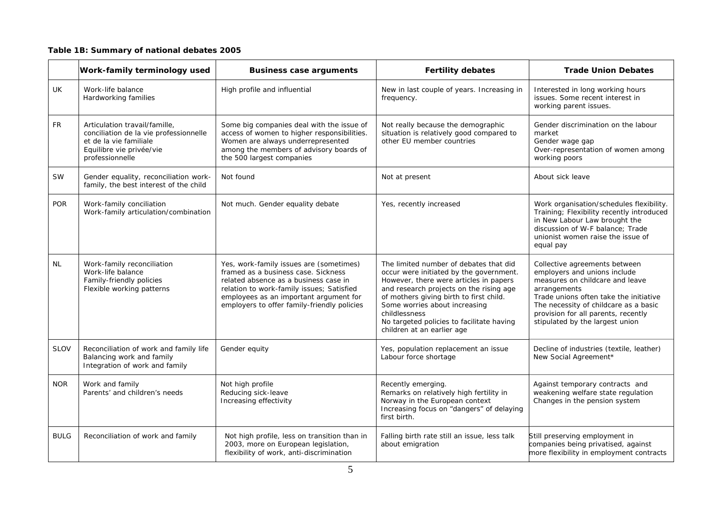### **Table 1B: Summary of national debates 2005**

|             | Work-family terminology used                                                                                                                     | <b>Business case arguments</b>                                                                                                                                                                                                                                | <b>Fertility debates</b>                                                                                                                                                                                                                                                                                                                       | <b>Trade Union Debates</b>                                                                                                                                                                                                                                                    |
|-------------|--------------------------------------------------------------------------------------------------------------------------------------------------|---------------------------------------------------------------------------------------------------------------------------------------------------------------------------------------------------------------------------------------------------------------|------------------------------------------------------------------------------------------------------------------------------------------------------------------------------------------------------------------------------------------------------------------------------------------------------------------------------------------------|-------------------------------------------------------------------------------------------------------------------------------------------------------------------------------------------------------------------------------------------------------------------------------|
| UK          | Work-life balance<br>Hardworking families                                                                                                        | High profile and influential                                                                                                                                                                                                                                  | New in last couple of years. Increasing in<br>frequency.                                                                                                                                                                                                                                                                                       | Interested in long working hours<br>issues. Some recent interest in<br>working parent issues.                                                                                                                                                                                 |
| <b>FR</b>   | Articulation travail/famille,<br>conciliation de la vie professionnelle<br>et de la vie familiale<br>Equilibre vie privée/vie<br>professionnelle | Some big companies deal with the issue of<br>access of women to higher responsibilities.<br>Women are always underrepresented<br>among the members of advisory boards of<br>the 500 largest companies                                                         | Not really because the demographic<br>situation is relatively good compared to<br>other EU member countries                                                                                                                                                                                                                                    | Gender discrimination on the labour<br>market<br>Gender wage gap<br>Over-representation of women among<br>working poors                                                                                                                                                       |
| <b>SW</b>   | Gender equality, reconciliation work-<br>family, the best interest of the child                                                                  | Not found                                                                                                                                                                                                                                                     | Not at present                                                                                                                                                                                                                                                                                                                                 | About sick leave                                                                                                                                                                                                                                                              |
| <b>POR</b>  | Work-family conciliation<br>Work-family articulation/combination                                                                                 | Not much. Gender equality debate                                                                                                                                                                                                                              | Yes, recently increased                                                                                                                                                                                                                                                                                                                        | Work organisation/schedules flexibility.<br>Training; Flexibility recently introduced<br>in New Labour Law brought the<br>discussion of W-F balance: Trade<br>unionist women raise the issue of<br>equal pay                                                                  |
| <b>NL</b>   | Work-family reconciliation<br>Work-life balance<br>Family-friendly policies<br>Flexible working patterns                                         | Yes, work-family issues are (sometimes)<br>framed as a business case. Sickness<br>related absence as a business case in<br>relation to work-family issues; Satisfied<br>employees as an important argument for<br>employers to offer family-friendly policies | The limited number of debates that did<br>occur were initiated by the government.<br>However, there were articles in papers<br>and research projects on the rising age<br>of mothers giving birth to first child.<br>Some worries about increasing<br>childlessness<br>No targeted policies to facilitate having<br>children at an earlier age | Collective agreements between<br>employers and unions include<br>measures on childcare and leave<br>arrangements<br>Trade unions often take the initiative<br>The necessity of childcare as a basic<br>provision for all parents, recently<br>stipulated by the largest union |
| <b>SLOV</b> | Reconciliation of work and family life<br>Balancing work and family<br>Integration of work and family                                            | Gender equity                                                                                                                                                                                                                                                 | Yes, population replacement an issue<br>Labour force shortage                                                                                                                                                                                                                                                                                  | Decline of industries (textile, leather)<br>New Social Agreement*                                                                                                                                                                                                             |
| <b>NOR</b>  | Work and family<br>Parents' and children's needs                                                                                                 | Not high profile<br>Reducing sick-leave<br>Increasing effectivity                                                                                                                                                                                             | Recently emerging.<br>Remarks on relatively high fertility in<br>Norway in the European context<br>Increasing focus on "dangers" of delaying<br>first birth.                                                                                                                                                                                   | Against temporary contracts and<br>weakening welfare state regulation<br>Changes in the pension system                                                                                                                                                                        |
| <b>BULG</b> | Reconciliation of work and family                                                                                                                | Not high profile, less on transition than in<br>2003, more on European legislation,<br>flexibility of work, anti-discrimination                                                                                                                               | Falling birth rate still an issue, less talk<br>about emigration                                                                                                                                                                                                                                                                               | Still preserving employment in<br>companies being privatised, against<br>more flexibility in employment contracts                                                                                                                                                             |